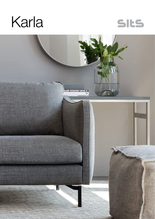



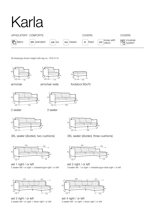# Karla



All drawings shown height with leg no. 141A H-14.





armchair wide



footstool 90x70





2 seater

armchair

3 seater





set 1 right / or left 2 seater left / or right + chaiselongue right / or left



set 3 right / or left 2 seater left / or right + divan right / or left



3XL seater (divided, two cushions) 3XL seater (divided, three cushions)



set 2 right / or left 3 seater left / or right + chaiselongue wide right / or left



set 4 right / or left 3 seater left / or right + divan right / or left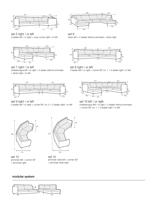

set 5 right / or left 3 seater left / or right + cozy corner right / or left



set 7 right / or left chaiselongue left / or right + 2 seater without armrests + divan right / or left



set 9 right / or left 3 seater left / or right + corner 90° no. 2 + 2 seater right / or left



set 6 divan left  $+ 2$  seater without armrests  $+$  divan right



set 8 right / or left 3 seater left / or right + corner 90˚ no. 1 + 2 seater right / or left



set 10 left / or rigth chaiselongue left / or right + 2 seater without armrests + corner 90° no. 1 + 2 seater right / or left



set 13 armchair left + corner 30° + armchair right



set 14 armchair wide left + corner 30° + armchair wide right

### modular system

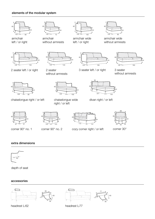## elements of the modular system



armchair left / or right





armchair without armrests



armchair wide left / or right



armchair wide without armrests









2 seater left / or right

2 seater without armrests

3 seater left / or right

3 seater without armrests



chaiselongue right / or left chaiselongue wide



right / or left

 $\overline{102}$  

divan right / or left





corner 90° no. 1 corner 90° no. 2



cozy corner right / or left



corner 30°

# extra dimensions



depth of seat

## accessories



headrest L-62 headrest L-77